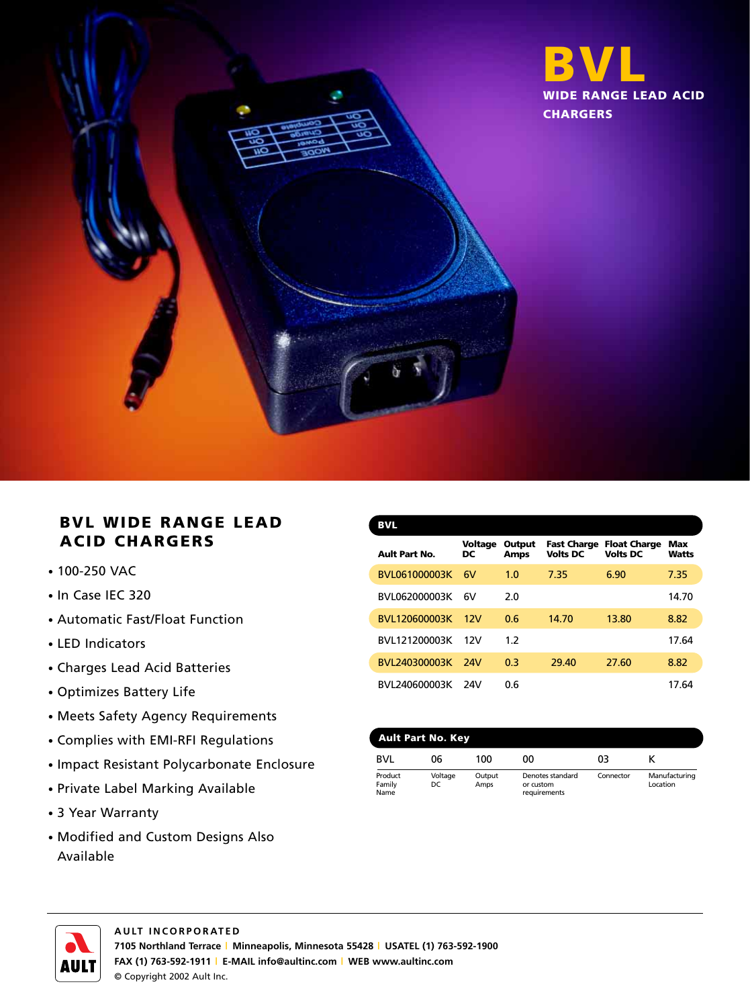

## **BVL WIDE RANGE LEAD ACID CHARGERS**

- 100-250 VAC
- In Case IEC 320
- Automatic Fast/Float Function
- LED Indicators
- Charges Lead Acid Batteries
- Optimizes Battery Life
- Meets Safety Agency Requirements
- Complies with EMI-RFI Regulations
- Impact Resistant Polycarbonate Enclosure
- Private Label Marking Available
- 3 Year Warranty
- Modified and Custom Designs Also Available

| <b>BVL</b>            |               |                       |                                       |                                        |                     |
|-----------------------|---------------|-----------------------|---------------------------------------|----------------------------------------|---------------------|
| <b>Ault Part No.</b>  | Voltage<br>DC | Output<br><b>Amps</b> | <b>Fast Charge</b><br><b>Volts DC</b> | <b>Float Charge</b><br><b>Volts DC</b> | Max<br><b>Watts</b> |
| BVL061000003K         | 6V            | 1.0                   | 7.35                                  | 6.90                                   | 7.35                |
| BVI 062000003K        | 6V            | 2.0                   |                                       |                                        | 14.70               |
| <b>BVI 120600003K</b> | 12V           | 0.6                   | 14.70                                 | 13.80                                  | 8.82                |
| BVL121200003K         | 12V           | 1.2                   |                                       |                                        | 17.64               |
| <b>BVL240300003K</b>  | 24V           | 0.3                   | 29.40                                 | 27.60                                  | 8.82                |
| BVL240600003K         | 24V           | 0.6                   |                                       |                                        | 17.64               |

| <b>Ault Part No. Key</b>  |                |                |                                               |           |                           |
|---------------------------|----------------|----------------|-----------------------------------------------|-----------|---------------------------|
| <b>BVI</b>                | 06             | 100            | ΩO                                            | 03        |                           |
| Product<br>Family<br>Name | Voltage<br>DC. | Output<br>Amps | Denotes standard<br>or custom<br>requirements | Connector | Manufacturing<br>Location |